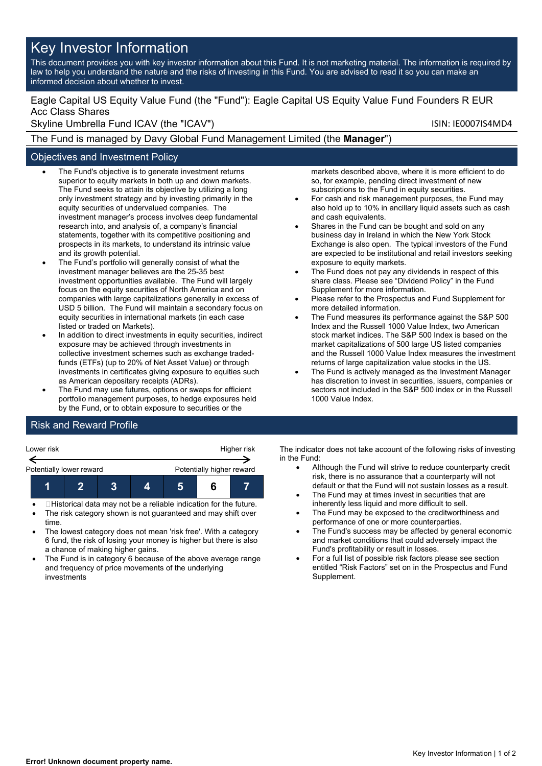# Key Investor Information

This document provides you with key investor information about this Fund. It is not marketing material. The information is required by law to help you understand the nature and the risks of investing in this Fund. You are advised to read it so you can make an informed decision about whether to invest.

# Eagle Capital US Equity Value Fund (the "Fund"): Eagle Capital US Equity Value Fund Founders R EUR Acc Class Shares

Skyline Umbrella Fund ICAV (the "ICAV") Skyline Umbrella Fund ICAV (the "ICAV")

The Fund is managed by Davy Global Fund Management Limited (the **Manager**")

## Objectives and Investment Policy

- The Fund's objective is to generate investment returns superior to equity markets in both up and down markets. The Fund seeks to attain its objective by utilizing a long only investment strategy and by investing primarily in the equity securities of undervalued companies. The investment manager's process involves deep fundamental research into, and analysis of, a company's financial statements, together with its competitive positioning and prospects in its markets, to understand its intrinsic value and its growth potential.
- The Fund's portfolio will generally consist of what the investment manager believes are the 25-35 best investment opportunities available. The Fund will largely focus on the equity securities of North America and on companies with large capitalizations generally in excess of USD 5 billion. The Fund will maintain a secondary focus on equity securities in international markets (in each case listed or traded on Markets).
- In addition to direct investments in equity securities, indirect exposure may be achieved through investments in collective investment schemes such as exchange tradedfunds (ETFs) (up to 20% of Net Asset Value) or through investments in certificates giving exposure to equities such as American depositary receipts (ADRs).
- The Fund may use futures, options or swaps for efficient portfolio management purposes, to hedge exposures held by the Fund, or to obtain exposure to securities or the

markets described above, where it is more efficient to do so, for example, pending direct investment of new subscriptions to the Fund in equity securities.

- For cash and risk management purposes, the Fund may also hold up to 10% in ancillary liquid assets such as cash and cash equivalents.
- Shares in the Fund can be bought and sold on any business day in Ireland in which the New York Stock Exchange is also open. The typical investors of the Fund are expected to be institutional and retail investors seeking exposure to equity markets.
- The Fund does not pay any dividends in respect of this share class. Please see "Dividend Policy" in the Fund Supplement for more information.
- Please refer to the Prospectus and Fund Supplement for more detailed information.
- The Fund measures its performance against the S&P 500 Index and the Russell 1000 Value Index, two American stock market indices. The S&P 500 Index is based on the market capitalizations of 500 large US listed companies and the Russell 1000 Value Index measures the investment returns of large capitalization value stocks in the US.
- The Fund is actively managed as the Investment Manager has discretion to invest in securities, issuers, companies or sectors not included in the S&P 500 index or in the Russell 1000 Value Index.

# Risk and Reward Profile



- Historical data may not be a reliable indication for the future.
- The risk category shown is not guaranteed and may shift over time.
- The lowest category does not mean 'risk free'. With a category 6 fund, the risk of losing your money is higher but there is also a chance of making higher gains.
- The Fund is in category 6 because of the above average range and frequency of price movements of the underlying investments

The indicator does not take account of the following risks of investing in the Fund:

- Although the Fund will strive to reduce counterparty credit risk, there is no assurance that a counterparty will not default or that the Fund will not sustain losses as a result.
- The Fund may at times invest in securities that are inherently less liquid and more difficult to sell.
- The Fund may be exposed to the creditworthiness and performance of one or more counterparties.
- The Fund's success may be affected by general economic and market conditions that could adversely impact the Fund's profitability or result in losses.
- For a full list of possible risk factors please see section entitled "Risk Factors" set on in the Prospectus and Fund Supplement.